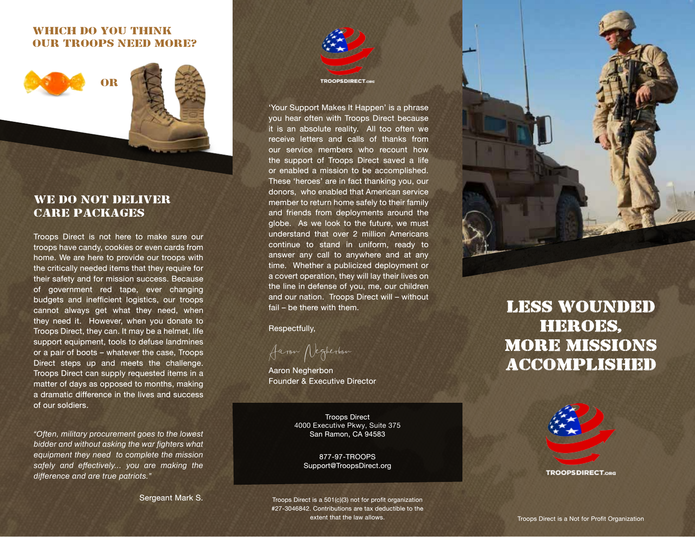### WHICH DO YOU THINK OUR TROOPS NEED MORE?



## WE DO NOT DELIVER CARE PACKAGES

Troops Direct is not here to make sure our troops have candy, cookies or even cards from home. We are here to provide our troops with the critically needed items that they require for their safety and for mission success. Because of government red tape, ever changing budgets and inefficient logistics, our troops cannot always get what they need, when they need it. However, when you donate to Troops Direct, they can. It may be a helmet, life support equipment, tools to defuse landmines or a pair of boots – whatever the case, Troops Direct steps up and meets the challenge. Troops Direct can supply requested items in a matter of days as opposed to months, making a dramatic difference in the lives and success of our soldiers.

*"Often, military procurement goes to the lowest bidder and without asking the war fighters what equipment they need to complete the mission safely and effectively... you are making the difference and are true patriots."*

Sergeant Mark S.



'Your Support Makes It Happen' is a phrase you hear often with Troops Direct because it is an absolute reality. All too often we receive letters and calls of thanks from our service members who recount how the support of Troops Direct saved a life or enabled a mission to be accomplished. These 'heroes' are in fact thanking you, our donors, who enabled that American service member to return home safely to their family and friends from deployments around the globe. As we look to the future, we must understand that over 2 million Americans continue to stand in uniform, ready to answer any call to anywhere and at any time. Whether a publicized deployment or a covert operation, they will lay their lives on the line in defense of you, me, our children and our nation. Troops Direct will – without fail – be there with them.

Respectfully,

Aaron Negherbon

Aaron Negherbon Founder & Executive Director

Troops Direct 4000 Executive Pkwy, Suite 375 San Ramon, CA 94583

> 877-97-TROOPS Support@TroopsDirect.org

less wounded **HEROES,** 





**TROOPSDIRECT.org** 

Troops Direct is a 501(c)(3) not for profit organization #27-3046842. Contributions are tax deductible to the extent that the law allows.